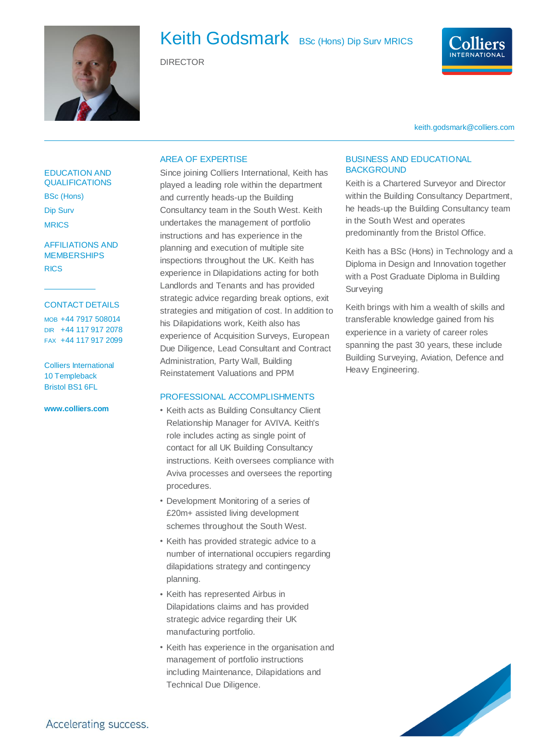

# Keith Godsmark BSc (Hons) Dip Surv MRICS

DIRECTOR



keith.godsmark@colliers.com

#### EDUCATION AND QUALIFICATIONS

BSc (Hons) Dip Surv **MRICS** 

AFFILIATIONS AND **MEMBERSHIPS** RICS

#### CONTACT DETAILS

MOB +44 7917 508014 DIR +44 117 917 2078 FAX +44 117 917 2099

Colliers International 10 Templeback Bristol BS1 6FL

**www.colliers.com**

#### AREA OF EXPERTISE

Since joining Colliers International, Keith has played a leading role within the department and currently heads-up the Building Consultancy team in the South West. Keith undertakes the management of portfolio instructions and has experience in the planning and execution of multiple site inspections throughout the UK. Keith has experience in Dilapidations acting for both Landlords and Tenants and has provided strategic advice regarding break options, exit strategies and mitigation of cost. In addition to his Dilapidations work, Keith also has experience of Acquisition Surveys, European Due Diligence, Lead Consultant and Contract Administration, Party Wall, Building Reinstatement Valuations and PPM

#### PROFESSIONAL ACCOMPLISHMENTS

- Keith acts as Building Consultancy Client Relationship Manager for AVIVA. Keith's role includes acting as single point of contact for all UK Building Consultancy instructions. Keith oversees compliance with Aviva processes and oversees the reporting procedures.
- Development Monitoring of a series of £20m+ assisted living development schemes throughout the South West.
- Keith has provided strategic advice to a number of international occupiers regarding dilapidations strategy and contingency planning.
- Keith has represented Airbus in Dilapidations claims and has provided strategic advice regarding their UK manufacturing portfolio.
- Keith has experience in the organisation and management of portfolio instructions including Maintenance, Dilapidations and Technical Due Diligence.

### BUSINESS AND EDUCATIONAL BACKGROUND

Keith is a Chartered Surveyor and Director within the Building Consultancy Department, he heads-up the Building Consultancy team in the South West and operates predominantly from the Bristol Office.

Keith has a BSc (Hons) in Technology and a Diploma in Design and Innovation together with a Post Graduate Diploma in Building Surveying

Keith brings with him a wealth of skills and transferable knowledge gained from his experience in a variety of career roles spanning the past 30 years, these include Building Surveying, Aviation, Defence and Heavy Engineering.